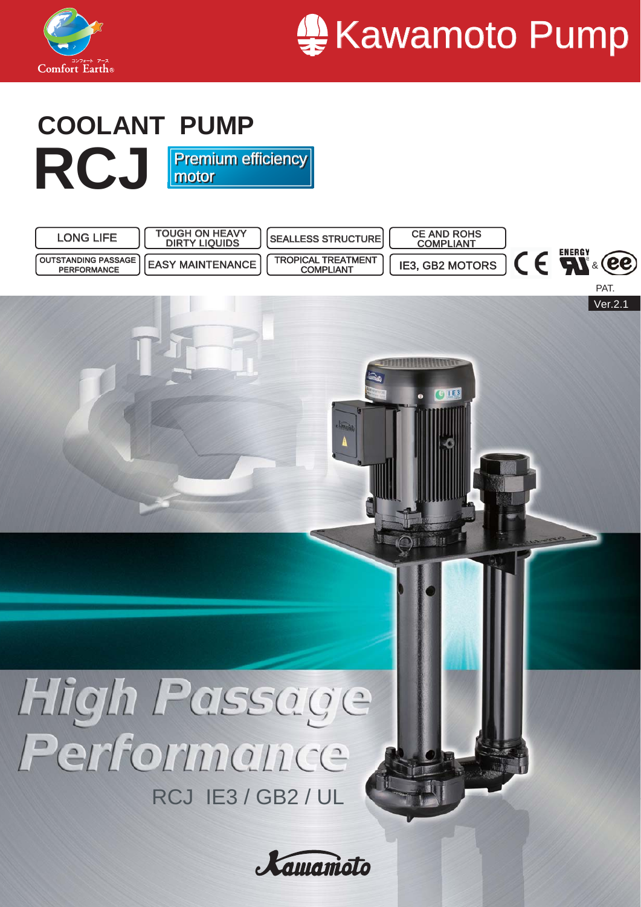



#### **RCJ COOLANT PUMP** Premium efficiency motor **Premium efficiency** motor

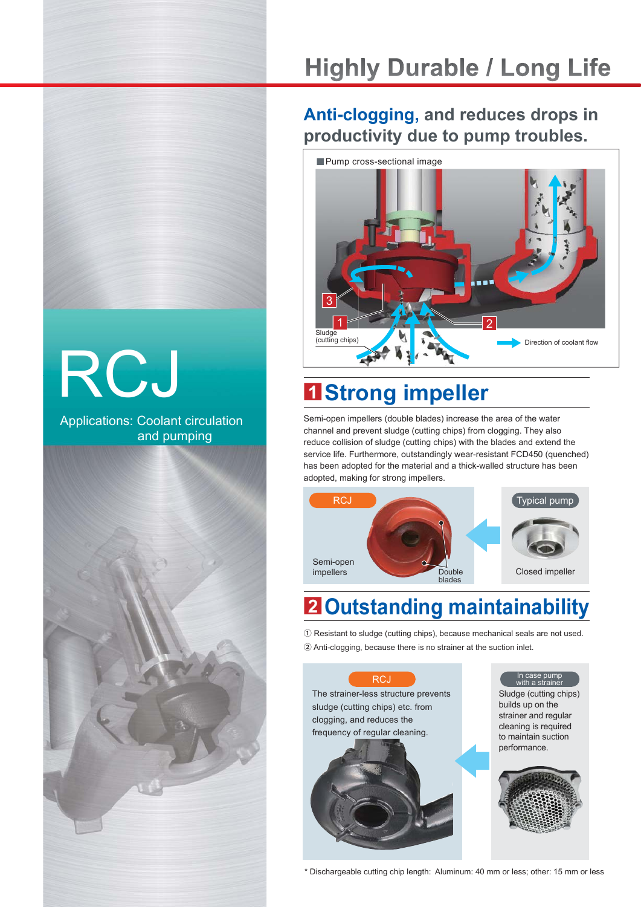## **Highly Durable / Long Life**

### **Anti-clogging, and reduces drops in productivity due to pump troubles.**



## **■<sup>1</sup> Strong impeller**

Semi-open impellers (double blades) increase the area of the water channel and prevent sludge (cutting chips) from clogging. They also reduce collision of sludge (cutting chips) with the blades and extend the service life. Furthermore, outstandingly wear-resistant FCD450 (quenched) has been adopted for the material and a thick-walled structure has been adopted, making for strong impellers.



## **■<sup>2</sup> Outstanding maintainability**

① Resistant to sludge (cutting chips), because mechanical seals are not used. ② Anti-clogging, because there is no strainer at the suction inlet.



\* Dischargeable cutting chip length: Aluminum: 40 mm or less; other: 15 mm or less

# RCJ

Applications: Coolant circulation and pumping

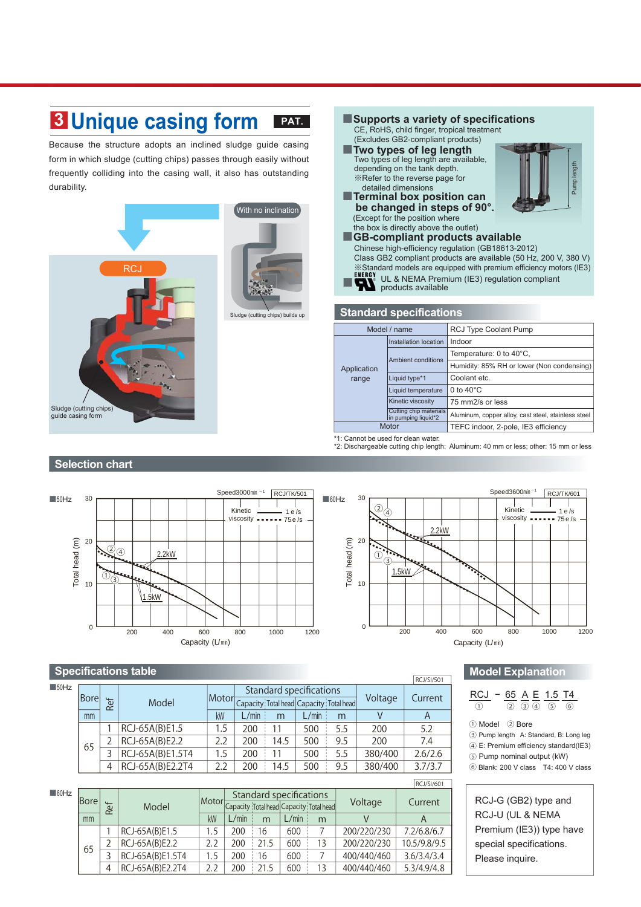#### **PAT. ■<sup>3</sup> Unique casing form**

Because the structure adopts an inclined sludge guide casing form in which sludge (cutting chips) passes through easily without frequently colliding into the casing wall, it also has outstanding durability.



#### ■**Supports a variety of specifications** CE, RoHS, child finger, tropical treatment (Excludes GB2-compliant products)

- ■**Two types of leg length** Two types of leg length are available, depending on the tank depth. ※Refer to the reverse page for detailed dimensions
- ■**Terminal box position can be changed in steps of 90°.** (Except for the position where



 the box is directly above the outlet) ■**GB-compliant products available** Chinese high-efficiency regulation (GB18613-2012) Class GB2 compliant products are available (50 Hz, 200 V, 380 V) ※Standard models are equipped with premium efficiency motors (IE3) ENERGY<br>
UL & NEMA Premium (IE3) regulation compliant products available

#### **Standard specifications**

| Model / name         |                                               | <b>RCJ Type Coolant Pump</b>                        |  |  |
|----------------------|-----------------------------------------------|-----------------------------------------------------|--|--|
| Application<br>range | Installation location                         | Indoor                                              |  |  |
|                      |                                               | Temperature: $0$ to $40^{\circ}$ C,                 |  |  |
|                      | Ambient conditions                            | Humidity: 85% RH or lower (Non condensing)          |  |  |
|                      | Liquid type*1                                 | Coolant etc.                                        |  |  |
|                      | Liquid temperature                            | 0 to $40^{\circ}$ C                                 |  |  |
|                      | Kinetic viscosity                             | 75 mm2/s or less                                    |  |  |
|                      | Cutting chip materials<br>in pumping liquid*2 | Aluminum, copper alloy, cast steel, stainless steel |  |  |
| Motor                |                                               | TEFC indoor, 2-pole, IE3 efficiency                 |  |  |
|                      |                                               |                                                     |  |  |

\*1: Cannot be used for clean water.

\*2: Dischargeable cutting chip length: Aluminum: 40 mm or less; other: 15 mm or less

#### **Selection chart**



#### **Specifications table**

|                     |        |                      |                  |     |       |                                |       |                                               |         | <b>RCJ/SI/501</b> |
|---------------------|--------|----------------------|------------------|-----|-------|--------------------------------|-------|-----------------------------------------------|---------|-------------------|
| $\blacksquare$ 50Hz |        |                      |                  |     |       | <b>Standard specifications</b> |       |                                               |         |                   |
|                     | lBorel | ፟፟፟፟፟፟፟፟፟፟<br>$\sim$ | Model            |     |       |                                |       | Motor Capacity Total head Capacity Total head | Voltage | Current           |
|                     | mm     |                      |                  | kW  | L/min | m                              | L/min | m                                             |         | A                 |
|                     |        |                      | RCJ-65A(B)E1.5   | 1.5 | 200   |                                | 500   | 5.5                                           | 200     | 5.2               |
|                     | 65     |                      | RCJ-65A(B)E2.2   | 2.2 | 200   | 14.5                           | 500   | 9.5                                           | 200     | 7.4               |
|                     |        |                      | RCJ-65A(B)E1.5T4 | 1.5 | 200   |                                | 500   | 5.5                                           | 380/400 | 2.6/2.6           |
|                     |        | 4                    | RCJ-65A(B)E2.2T4 | 2.2 | 200   | 14.5                           | 500   | 9.5                                           | 380/400 | 3.7/3.7           |

|                     |             |                  |                  |     |                                                                          |      |       |             |             | i Ruzzizovi  |
|---------------------|-------------|------------------|------------------|-----|--------------------------------------------------------------------------|------|-------|-------------|-------------|--------------|
| $\blacksquare$ 60Hz | <b>Bore</b> | ď<br>$\alpha$    | Model            |     | Standard specifications<br>Motor Capacity Total head Capacity Total head |      |       |             | Voltage     | Current      |
|                     | mm          |                  |                  | kW  | L/min                                                                    | m    | L/min | m           |             | A            |
|                     |             |                  | RCJ-65A(B)E1.5   | 1.5 | 200                                                                      | 16   | 600   |             | 200/220/230 | 7.2/6.8/6.7  |
|                     |             |                  | RCJ-65A(B)E2.2   | 2.2 | 200                                                                      | 21.5 | 600   | 13          | 200/220/230 | 10.5/9.8/9.5 |
| 65                  | 3           | RCJ-65A(B)E1.5T4 | 1.5              | 200 | 16                                                                       | 600  |       | 400/440/460 | 3.6/3.4/3.4 |              |
|                     |             | $\overline{4}$   | RCJ-65A(B)E2.2T4 | 2.2 | 200                                                                      | 21.5 | 600   |             | 400/440/460 | 5.3/4.9/4.8  |
|                     |             |                  |                  |     |                                                                          |      |       |             |             |              |

#### **Model Explanation**

#### RCJ − 65 A E 1.5 T4 ① ②③ ④ ⑤ ⑥

① Model ② Bore

 $RCUCl(601)$ 

- ③ Pump length A: Standard, B: Long leg
- ④ E: Premium efficiency standard(IE3)
- ⑤ Pump nominal output (kW)
- ⑥ Blank: 200 V class T4: 400 V class

RCJ-G (GB2) type and RCJ-U (UL & NEMA Premium (IE3)) type have special specifications. Please inquire.